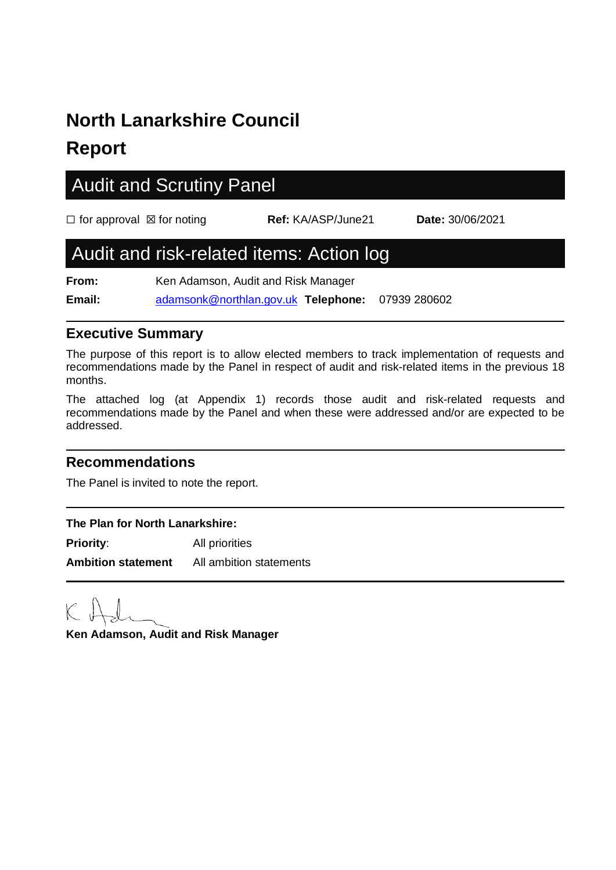# **North Lanarkshire Council**

### **Report**

## Audit and Scrutiny Panel ☐ for approval ☒ for noting **Ref:** KA/ASP/June21 **Date:** 30/06/2021 Audit and risk-related items: Action log **From:** Ken Adamson, Audit and Risk Manager **Email:** [adamsonk@northlan.gov.uk](mailto:adamsonk@northlan.gov.uk) **Telephone:** 07939 280602

#### **Executive Summary**

The purpose of this report is to allow elected members to track implementation of requests and recommendations made by the Panel in respect of audit and risk-related items in the previous 18 months.

The attached log (at Appendix 1) records those audit and risk-related requests and recommendations made by the Panel and when these were addressed and/or are expected to be addressed.

#### **Recommendations**

The Panel is invited to note the report.

#### **The Plan for North Lanarkshire: Priority:** All priorities

**Ambition statement** All ambition statements

**Ken Adamson, Audit and Risk Manager**